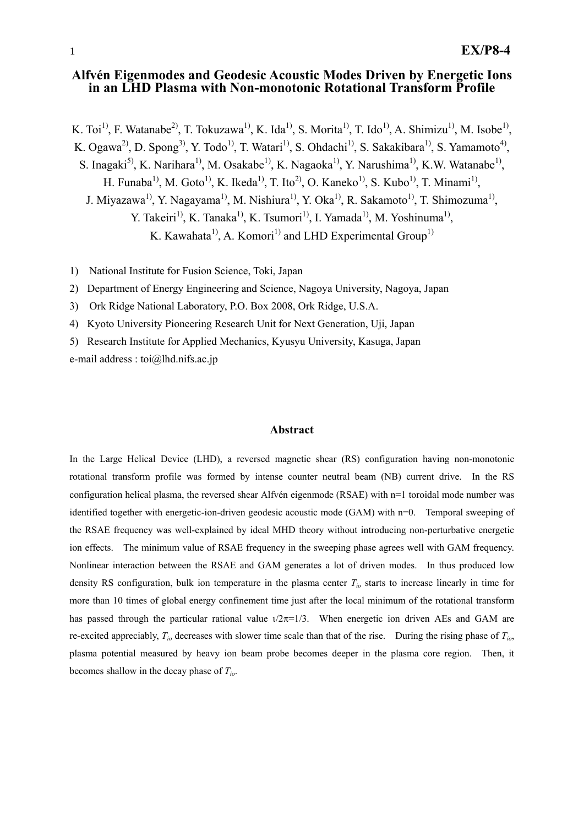# **Alfvén Eigenmodes and Geodesic Acoustic Modes Driven by Energetic Ions in an LHD Plasma with Non-monotonic Rotational Transform Profile**

K. Toi<sup>1)</sup>, F. Watanabe<sup>2)</sup>, T. Tokuzawa<sup>1)</sup>, K. Ida<sup>1)</sup>, S. Morita<sup>1)</sup>, T. Ido<sup>1</sup>, A. Shimizu<sup>1)</sup>, M. Isobe<sup>1)</sup>, K. Ogawa<sup>2)</sup>, D. Spong<sup>3)</sup>, Y. Todo<sup>1)</sup>, T. Watari<sup>1)</sup>, S. Ohdachi<sup>1)</sup>, S. Sakakibara<sup>1)</sup>, S. Yamamoto<sup>4)</sup>, S. Inagaki<sup>5)</sup>, K. Narihara<sup>1)</sup>, M. Osakabe<sup>1)</sup>, K. Nagaoka<sup>1)</sup>, Y. Narushima<sup>1)</sup>, K.W. Watanabe<sup>1)</sup>, H. Funaba<sup>1)</sup>, M. Goto<sup>1)</sup>, K. Ikeda<sup>1)</sup>, T. Ito<sup>2</sup>, O. Kaneko<sup>1)</sup>, S. Kubo<sup>1)</sup>, T. Minami<sup>1)</sup>, J. Miyazawa<sup>1)</sup>, Y. Nagayama<sup>1)</sup>, M. Nishiura<sup>1)</sup>, Y. Oka<sup>1)</sup>, R. Sakamoto<sup>1)</sup>, T. Shimozuma<sup>1)</sup>, Y. Takeiri<sup>1)</sup>, K. Tanaka<sup>1)</sup>, K. Tsumori<sup>1)</sup>, I. Yamada<sup>1</sup><sup>)</sup>, M. Yoshinuma<sup>1</sup><sup>)</sup>, K. Kawahata<sup>1)</sup>, A. Komori<sup>1)</sup> and LHD Experimental Group<sup>1)</sup>

1) National Institute for Fusion Science, Toki, Japan

2) Department of Energy Engineering and Science, Nagoya University, Nagoya, Japan

3) Ork Ridge National Laboratory, P.O. Box 2008, Ork Ridge, U.S.A.

4) Kyoto University Pioneering Research Unit for Next Generation, Uji, Japan

5) Research Institute for Applied Mechanics, Kyusyu University, Kasuga, Japan

e-mail address : toi@lhd.nifs.ac.jp

#### **Abstract**

In the Large Helical Device (LHD), a reversed magnetic shear (RS) configuration having non-monotonic rotational transform profile was formed by intense counter neutral beam (NB) current drive. In the RS configuration helical plasma, the reversed shear Alfvén eigenmode (RSAE) with n=1 toroidal mode number was identified together with energetic-ion-driven geodesic acoustic mode (GAM) with n=0. Temporal sweeping of the RSAE frequency was well-explained by ideal MHD theory without introducing non-perturbative energetic ion effects. The minimum value of RSAE frequency in the sweeping phase agrees well with GAM frequency. Nonlinear interaction between the RSAE and GAM generates a lot of driven modes. In thus produced low density RS configuration, bulk ion temperature in the plasma center *Tio* starts to increase linearly in time for more than 10 times of global energy confinement time just after the local minimum of the rotational transform has passed through the particular rational value  $\sqrt{2\pi}$ =1/3. When energetic ion driven AEs and GAM are re-excited appreciably, *Tio* decreases with slower time scale than that of the rise. During the rising phase of *Tio*, plasma potential measured by heavy ion beam probe becomes deeper in the plasma core region. Then, it becomes shallow in the decay phase of *Tio*.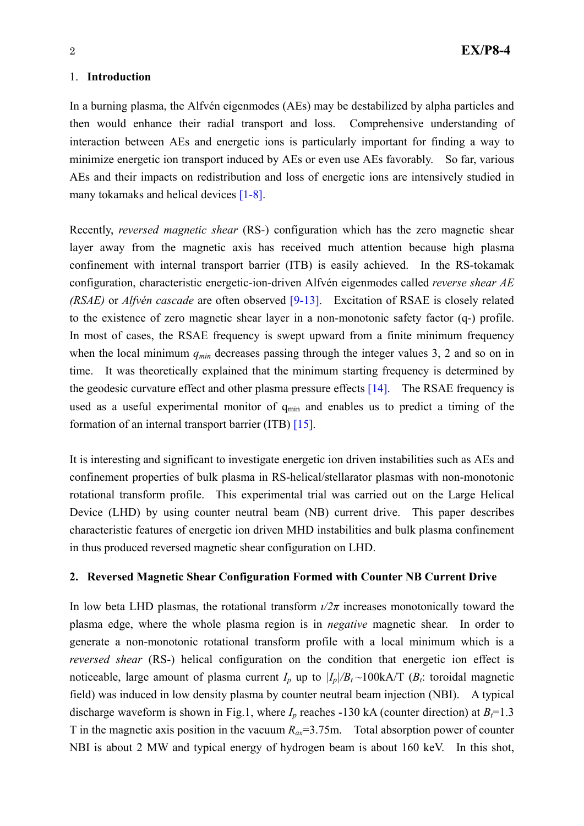#### 1. **Introduction**

In a burning plasma, the Alfvén eigenmodes (AEs) may be destabilized by alpha particles and then would enhance their radial transport and loss. Comprehensive understanding of interaction between AEs and energetic ions is particularly important for finding a way to minimize energetic ion transport induced by AEs or even use AEs favorably. So far, various AEs and their impacts on redistribution and loss of energetic ions are intensively studied in many tokamaks and helical devices [1-8].

Recently, *reversed magnetic shear* (RS-) configuration which has the zero magnetic shear layer away from the magnetic axis has received much attention because high plasma confinement with internal transport barrier (ITB) is easily achieved. In the RS-tokamak configuration, characteristic energetic-ion-driven Alfvén eigenmodes called *reverse shear AE (RSAE)* or *Alfvén cascade* are often observed [9-13]. Excitation of RSAE is closely related to the existence of zero magnetic shear layer in a non-monotonic safety factor (q-) profile. In most of cases, the RSAE frequency is swept upward from a finite minimum frequency when the local minimum  $q_{min}$  decreases passing through the integer values 3, 2 and so on in time. It was theoretically explained that the minimum starting frequency is determined by the geodesic curvature effect and other plasma pressure effects [14]. The RSAE frequency is used as a useful experimental monitor of q<sub>min</sub> and enables us to predict a timing of the formation of an internal transport barrier (ITB) [15].

It is interesting and significant to investigate energetic ion driven instabilities such as AEs and confinement properties of bulk plasma in RS-helical/stellarator plasmas with non-monotonic rotational transform profile. This experimental trial was carried out on the Large Helical Device (LHD) by using counter neutral beam (NB) current drive. This paper describes characteristic features of energetic ion driven MHD instabilities and bulk plasma confinement in thus produced reversed magnetic shear configuration on LHD.

### **2. Reversed Magnetic Shear Configuration Formed with Counter NB Current Drive**

In low beta LHD plasmas, the rotational transform  $\iota/2\pi$  increases monotonically toward the plasma edge, where the whole plasma region is in *negative* magnetic shear. In order to generate a non-monotonic rotational transform profile with a local minimum which is a *reversed shear* (RS-) helical configuration on the condition that energetic ion effect is noticeable, large amount of plasma current  $I_p$  up to  $|I_p|/B_t \sim 100kA/T$  ( $B_t$ : toroidal magnetic field) was induced in low density plasma by counter neutral beam injection (NBI). A typical discharge waveform is shown in Fig.1, where  $I_p$  reaches -130 kA (counter direction) at  $B_f$ =1.3 T in the magnetic axis position in the vacuum  $R_{ax} = 3.75$ m. Total absorption power of counter NBI is about 2 MW and typical energy of hydrogen beam is about 160 keV. In this shot,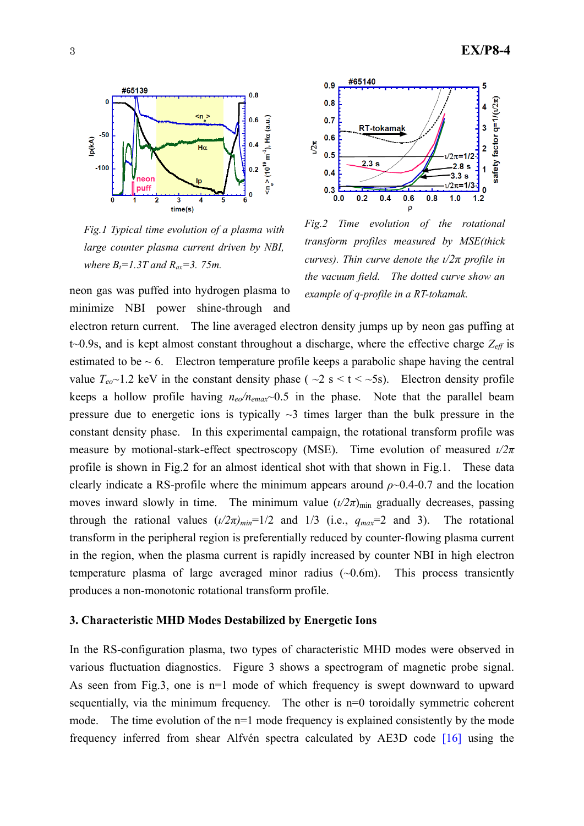

*Fig.1 Typical time evolution of a plasma with large counter plasma current driven by NBI, where*  $B_t = 1.3T$  *and*  $R_{ax} = 3.75m$ *.* 

*example of q-profile in a RT-tokamak. neon gas was puffed into hydrogen plasma to example of q-profile in a RT-tokamak.* minimize NBI power shine-through and



*Fig.2 Time evolution of the rotational transform profiles measured by MSE(thick curves). Thin curve denote the*  $\frac{1}{2}\pi$  *profile in the vacuum field. The dotted curve show an* 

electron return current. The line averaged electron density jumps up by neon gas puffing at t~0.9s, and is kept almost constant throughout a discharge, where the effective charge  $Z_{\text{eff}}$  is estimated to be  $\sim 6$ . Electron temperature profile keeps a parabolic shape having the central value  $T_{e0}$ ~1.2 keV in the constant density phase ( ~2 s < t < ~5s). Electron density profile keeps a hollow profile having  $n_{e0}/n_{emax}$  0.5 in the phase. Note that the parallel beam pressure due to energetic ions is typically  $\sim$ 3 times larger than the bulk pressure in the constant density phase. In this experimental campaign, the rotational transform profile was measure by motional-stark-effect spectroscopy (MSE). Time evolution of measured *ι/2π* profile is shown in Fig.2 for an almost identical shot with that shown in Fig.1. These data clearly indicate a RS-profile where the minimum appears around  $\rho$  -0.4-0.7 and the location moves inward slowly in time. The minimum value  $(\frac{l}{2\pi})_{\text{min}}$  gradually decreases, passing through the rational values  $(\frac{1}{2\pi})_{min}$ =1/2 and 1/3 (i.e.,  $q_{max}$ =2 and 3). The rotational transform in the peripheral region is preferentially reduced by counter-flowing plasma current in the region, when the plasma current is rapidly increased by counter NBI in high electron temperature plasma of large averaged minor radius  $(\sim 0.6$ m). This process transiently produces a non-monotonic rotational transform profile.

### **3. Characteristic MHD Modes Destabilized by Energetic Ions**

In the RS-configuration plasma, two types of characteristic MHD modes were observed in various fluctuation diagnostics. Figure 3 shows a spectrogram of magnetic probe signal. As seen from Fig.3, one is n=1 mode of which frequency is swept downward to upward sequentially, via the minimum frequency. The other is n=0 toroidally symmetric coherent mode. The time evolution of the n=1 mode frequency is explained consistently by the mode frequency inferred from shear Alfvén spectra calculated by AE3D code [16] using the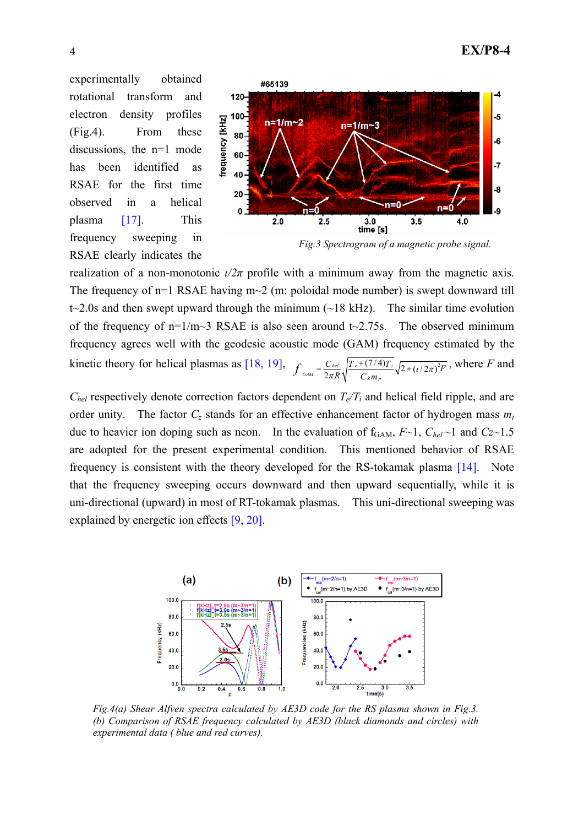experimentally obtained rotational transform and electron density profiles (Fig.4). From these discussions, the n=1 mode has been identified as RSAE for the first time observed in a helical plasma [17]. This frequency sweeping in RSAE clearly indicates the



realization of a non-monotonic  $\iota/2\pi$  profile with a minimum away from the magnetic axis. The frequency of  $n=1$  RSAE having  $m\sim 2$  (m: poloidal mode number) is swept downward till t $\approx$ 2.0s and then swept upward through the minimum ( $\approx$ 18 kHz). The similar time evolution of the frequency of  $n=1/m-3$  RSAE is also seen around t $\sim$ 2.75s. The observed minimum frequency agrees well with the geodesic acoustic mode (GAM) frequency estimated by the kinetic theory for helical plasmas as [18, 19],  $f_{GAM} = \frac{C_{hel}}{2\pi R} \sqrt{\frac{T_e + (7/4)T_i}{C_{Zm}} \sqrt{2 + (t/2\pi)^2}}$  $f_{GAM} = \frac{C_{hel}}{2\pi R} \sqrt{\frac{T_e + (7/4)T_i}{C_Z m_p}} \sqrt{2 + (t/2\pi)^2 F}$ , where *F* and

 $C_{hel}$  respectively denote correction factors dependent on  $T_e/T_i$  and helical field ripple, and are order unity. The factor  $C_z$  stands for an effective enhancement factor of hydrogen mass  $m_i$ due to heavier ion doping such as neon. In the evaluation of  $f_{GAM}$ ,  $F \sim 1$ ,  $C_{hel} \sim 1$  and  $Cz \sim 1.5$ are adopted for the present experimental condition. This mentioned behavior of RSAE frequency is consistent with the theory developed for the RS-tokamak plasma [14]. Note that the frequency sweeping occurs downward and then upward sequentially, while it is uni-directional (upward) in most of RT-tokamak plasmas. This uni-directional sweeping was explained by energetic ion effects [9, 20].



*Fig.4(a) Shear Alfven spectra calculated by AE3D code for the RS plasma shown in Fig.3. (b) Comparison of RSAE frequency calculated by AE3D (black diamonds and circles) with experimental data ( blue and red curves).*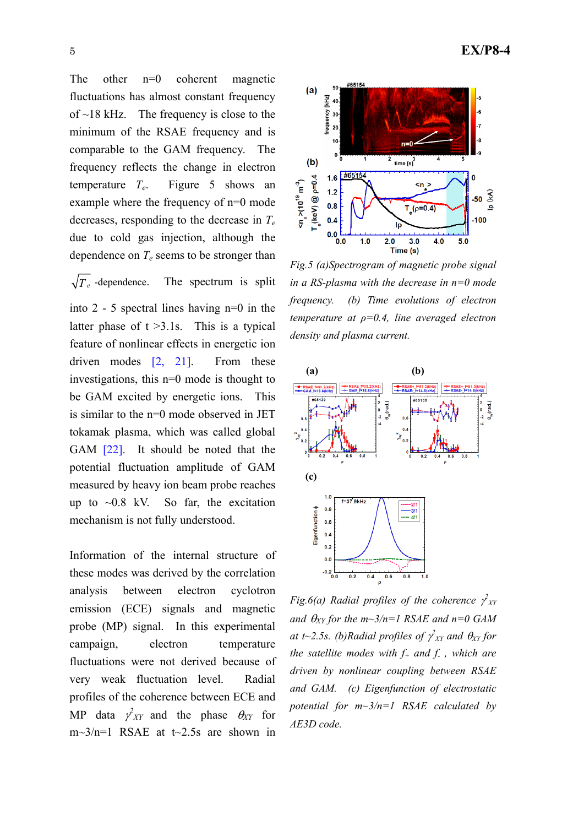The other n=0 coherent magnetic fluctuations has almost constant frequency of  $\sim$ 18 kHz. The frequency is close to the minimum of the RSAE frequency and is comparable to the GAM frequency. The frequency reflects the change in electron temperature *Te*. Figure 5 shows an example where the frequency of n=0 mode decreases, responding to the decrease in *Te* due to cold gas injection, although the dependence on  $T_e$  seems to be stronger than

 $\sqrt{T_e}$  -dependence. The spectrum is split into 2 - 5 spectral lines having n=0 in the latter phase of  $t > 3.1$ s. This is a typical feature of nonlinear effects in energetic ion driven modes [2, 21]. From these investigations, this n=0 mode is thought to be GAM excited by energetic ions. This is similar to the n=0 mode observed in JET tokamak plasma, which was called global GAM [22]. It should be noted that the potential fluctuation amplitude of GAM measured by heavy ion beam probe reaches up to  $\sim 0.8$  kV. So far, the excitation mechanism is not fully understood.

Information of the internal structure of these modes was derived by the correlation analysis between electron cyclotron emission (ECE) signals and magnetic probe (MP) signal. In this experimental campaign, electron temperature fluctuations were not derived because of very weak fluctuation level. Radial profiles of the coherence between ECE and MP data  $\gamma^2_{XY}$  and the phase  $\theta_{XY}$  for  $m\sim 3/n=1$  RSAE at t $\sim 2.5s$  are shown in



*Fig.5 (a)Spectrogram of magnetic probe signal in a RS-plasma with the decrease in n=0 mode frequency. (b) Time evolutions of electron temperature at ρ=0.4, line averaged electron density and plasma current.* 



*Fig.6(a) Radial profiles of the coherence*  $\gamma^2_{XY}$ *and*  $\theta_{XY}$  for the m~3/n=1 RSAE and n=0 GAM at t~2.5s. (b)Radial profiles of  $\gamma^2_{XY}$  and  $\theta_{XY}$  for *the satellite modes with*  $f_+$  *and*  $f_-$ *, which are driven by nonlinear coupling between RSAE and GAM. (c) Eigenfunction of electrostatic potential for m~3/n=1 RSAE calculated by AE3D code.*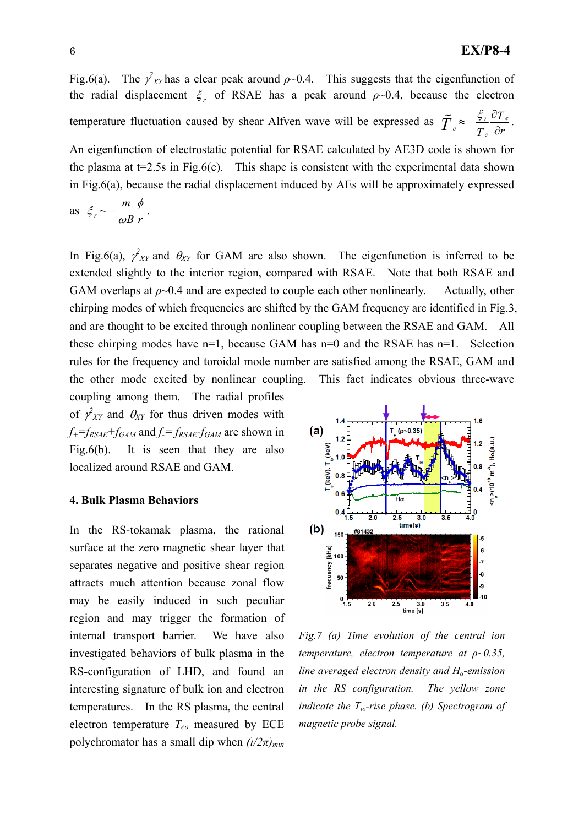Fig.6(a). The  $\gamma^2_{XY}$  has a clear peak around  $\rho \sim 0.4$ . This suggests that the eigenfunction of the radial displacement  $\xi$ , of RSAE has a peak around  $\rho$ ~0.4, because the electron temperature fluctuation caused by shear Alfven wave will be expressed as  $\tilde{T} \approx -\frac{\zeta_r}{r} \frac{U_I}{2\pi r}$  $\tilde{T}_e \approx -\frac{\xi_r}{T_e} \frac{\partial T_e}{\partial r}$ .

An eigenfunction of electrostatic potential for RSAE calculated by AE3D code is shown for the plasma at  $t=2.5s$  in Fig.6(c). This shape is consistent with the experimental data shown in Fig.6(a), because the radial displacement induced by AEs will be approximately expressed

as 
$$
\xi_r \sim -\frac{m}{\omega B} \frac{\phi}{r}
$$
.

In Fig.6(a),  $\gamma_{XY}^2$  and  $\theta_{XY}$  for GAM are also shown. The eigenfunction is inferred to be extended slightly to the interior region, compared with RSAE. Note that both RSAE and GAM overlaps at  $\rho \sim 0.4$  and are expected to couple each other nonlinearly. Actually, other chirping modes of which frequencies are shifted by the GAM frequency are identified in Fig.3, and are thought to be excited through nonlinear coupling between the RSAE and GAM. All these chirping modes have  $n=1$ , because GAM has  $n=0$  and the RSAE has  $n=1$ . Selection rules for the frequency and toroidal mode number are satisfied among the RSAE, GAM and the other mode excited by nonlinear coupling. This fact indicates obvious three-wave

coupling among them. The radial profiles of  $\gamma^2_{XY}$  and  $\theta_{XY}$  for thus driven modes with  $f_{+}$ = $f_{RSAE}$ + $f_{GAM}$  and  $f = f_{RSAE}$ - $f_{GAM}$  are shown in Fig.6(b). It is seen that they are also localized around RSAE and GAM.

#### **4. Bulk Plasma Behaviors**

In the RS-tokamak plasma, the rational surface at the zero magnetic shear layer that separates negative and positive shear region attracts much attention because zonal flow may be easily induced in such peculiar region and may trigger the formation of internal transport barrier. We have also investigated behaviors of bulk plasma in the RS-configuration of LHD, and found an interesting signature of bulk ion and electron temperatures. In the RS plasma, the central electron temperature *Teo* measured by ECE polychromator has a small dip when  $(\frac{l}{2\pi})_{min}$ 



*Fig.7 (a) Time evolution of the central ion temperature, electron temperature at ρ~0.35, line averaged electron density and Hα-emission in the RS configuration. The yellow zone indicate the Tio-rise phase. (b) Spectrogram of magnetic probe signal.*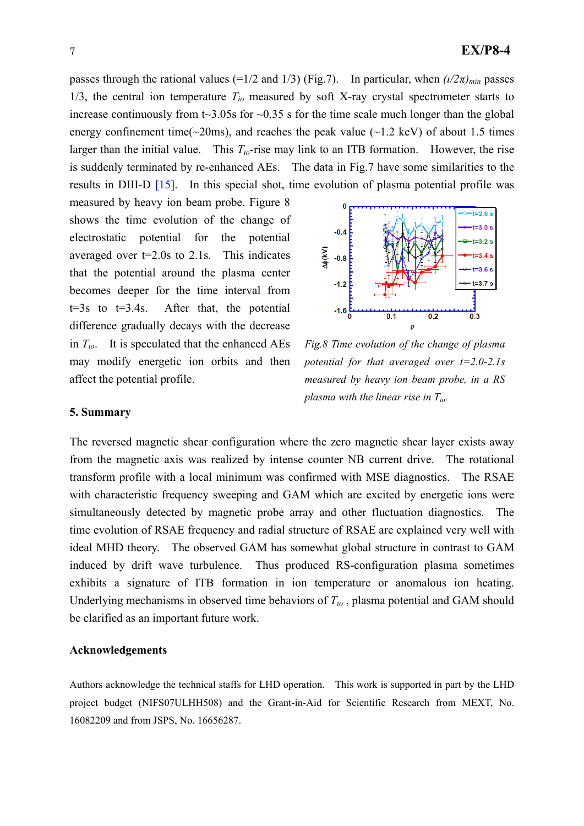passes through the rational values (=1/2 and 1/3) (Fig.7). In particular, when  $(\frac{1}{2\pi})_{min}$  passes 1/3, the central ion temperature  $T_{io}$  measured by soft X-ray crystal spectrometer starts to increase continuously from  $t\sim3.05$  for  $\sim0.35$  s for the time scale much longer than the global energy confinement time( $\sim$ 20ms), and reaches the peak value ( $\sim$ 1.2 keV) of about 1.5 times larger than the initial value. This  $T_{io}$ -rise may link to an ITB formation. However, the rise is suddenly terminated by re-enhanced AEs. The data in Fig.7 have some similarities to the results in DIII-D [15]. In this special shot, time evolution of plasma potential profile was

measured by heavy ion beam probe. Figure 8 shows the time evolution of the change of electrostatic potential for the potential averaged over t=2.0s to 2.1s. This indicates that the potential around the plasma center becomes deeper for the time interval from  $t=3s$  to  $t=3.4s$ . After that, the potential difference gradually decays with the decrease in *Tio*. It is speculated that the enhanced AEs may modify energetic ion orbits and then affect the potential profile.



*Fig.8 Time evolution of the change of plasma potential for that averaged over t=2.0-2.1s measured by heavy ion beam probe, in a RS plasma with the linear rise in Tio.* 

## **5. Summary**

The reversed magnetic shear configuration where the zero magnetic shear layer exists away from the magnetic axis was realized by intense counter NB current drive. The rotational transform profile with a local minimum was confirmed with MSE diagnostics. The RSAE with characteristic frequency sweeping and GAM which are excited by energetic ions were simultaneously detected by magnetic probe array and other fluctuation diagnostics. The time evolution of RSAE frequency and radial structure of RSAE are explained very well with ideal MHD theory. The observed GAM has somewhat global structure in contrast to GAM induced by drift wave turbulence. Thus produced RS-configuration plasma sometimes exhibits a signature of ITB formation in ion temperature or anomalous ion heating. Underlying mechanisms in observed time behaviors of *Tio* , plasma potential and GAM should be clarified as an important future work.

### **Acknowledgements**

Authors acknowledge the technical staffs for LHD operation. This work is supported in part by the LHD project budget (NIFS07ULHH508) and the Grant-in-Aid for Scientific Research from MEXT, No. 16082209 and from JSPS, No. 16656287.